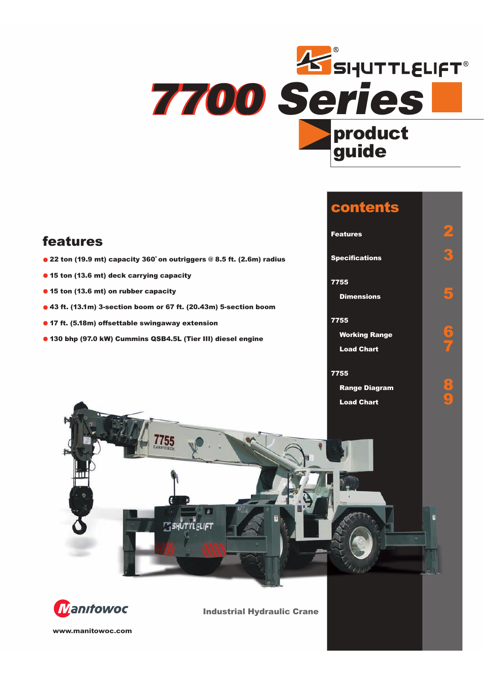

**contents**

# Features<br>
Specifications<br>
7755<br>
Dimensions<br>
7755<br>
Working Range<br>
Load Chart<br>
7755<br>
Range Diagram<br>
Load Chart **features Specifications 3 • 22 ton (19.9 mt) capacity 360˚ on outriggers @ 8.5 ft. (2.6m) radius • <sup>15</sup> ton (13.6 mt) deck carrying capacity 7755 • <sup>15</sup> ton (13.6 mt) on rubber capacity Dimensions 5 • 43 ft. (13.1m) 3-section boom or 67 ft. (20.43m) 5-section boom 7755 • 17 ft. (5.18m) offsettable swingaway extension Working Range 6 • 130 bhp (97.0 kW) Cummins QSB4.5L (Tier III) diesel engine Load Chart 7 7755 Range Diagram 8 Load Chart 9** 7755 **E SHUTTLELIFT**



**Industrial Hydraulic Crane**

**www.manitowoc.com**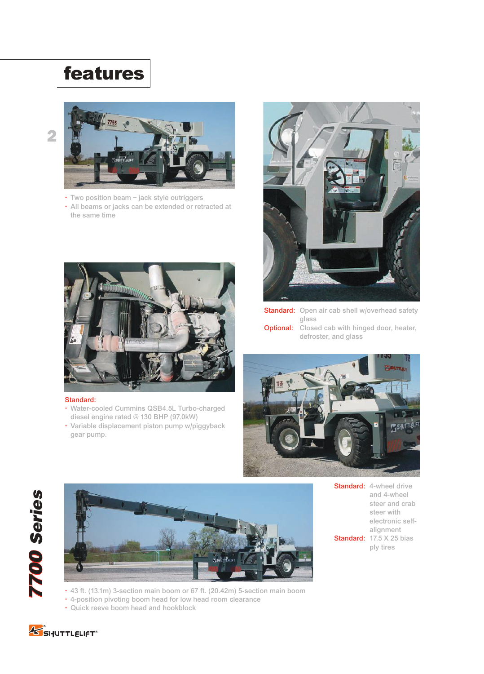# **features**



- Two position beam jack style outriggers
- All beams or jacks can be extended or retracted at the same time



#### Standard:

- Water-cooled Cummins QSB4.5L Turbo-charged diesel engine rated @ 130 BHP (97.0kW)
- Variable displacement piston pump w/piggyback gear pump.



**Standard:** Open air cab shell w/overhead safety glass **Optional:** Closed cab with hinged door, heater, defroster, and glass



*7700 Series 7700 Series* **7700 Series** 



Standard: 4-wheel drive and 4-wheel steer and crab steer with electronic selfalignment Standard: 17.5 X 25 bias ply tires

- 43 ft. (13.1m) 3-section main boom or 67 ft. (20.42m) 5-section main boom
- 4-position pivoting boom head for low head room clearance
- Quick reeve boom head and hookblock

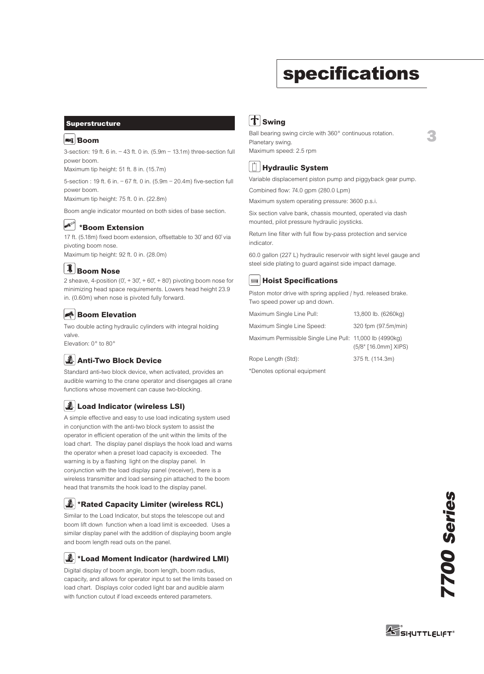# **specifications**

**3**

#### **Superstructure**

#### **Boom**

3-section: 19 ft. 6 in. – 43 ft. 0 in. (5.9m – 13.1m) three-section full power boom. **Boo**<br>er boomum t<br>er boomum t<br>er boomum t<br>n angl

Maximum tip height: 51 ft. 8 in. (15.7m)

5-section : 19 ft. 6 in. – 67 ft. 0 in. (5.9m – 20.4m) five-section full power boom.

Maximum tip height: 75 ft. 0 in. (22.8m)

Boom angle indicator mounted on both sides of base section.

#### AIVERA **\*Boom Extension**

17 ft. (5.18m) fixed boom extension, offsettable to 30˚ and 60˚ via pivoting boom nose.

Maximum tip height: 92 ft. 0 in. (28.0m)

## **Boom Nose Boom Nose**

2 sheave, 4-position  $(0, +30, +60, +80)$  pivoting boom nose for minimizing head space requirements. Lowers head height 23.9 in. (0.60m) when nose is pivoted fully forward.

### **Boom Elevation Boom Elevation**

Two double acting hydraulic cylinders with integral holding valve.

Elevation: 0° to 80°

# **Anti-Two Block Device Load Moment & Anti-Two Block System**

Standard anti-two block device, when activated, provides an audible warning to the crane operator and disengages all crane functions whose movement can cause two-blocking.

# **Load Indicator (wireless LSI)**

A simple effective and easy to use load indicating system used in conjunction with the anti-two block system to assist the operator in efficient operation of the unit within the limits of the load chart. The display panel displays the hook load and warns the operator when a preset load capacity is exceeded. The warning is by a flashing light on the display panel. In conjunction with the load display panel (receiver), there is a wireless transmitter and load sensing pin attached to the boom head that transmits the hook load to the display panel.

# **\*Rated Capacity Limiter (wireless RCL) Load Moment & Anti-Two Block System**

Similar to the Load Indicator, but stops the telescope out and boom lift down function when a load limit is exceeded. Uses a similar display panel with the addition of displaying boom angle and boom length read outs on the panel.

# **\*Load Moment Indicator (hardwired LMI) Load Moment & Anti-Two Block System**

Digital display of boom angle, boom length, boom radius, capacity, and allows for operator input to set the limits based on load chart. Displays color coded light bar and audible alarm with function cutout if load exceeds entered parameters.

## **Swing Swing**

Ball bearing swing circle with 360° continuous rotation. Planetary swing. Maximum speed: 2.5 rpm



Variable displacement piston pump and piggyback gear pump. Combined flow: 74.0 gpm (280.0 Lpm)

Maximum system operating pressure: 3600 p.s.i.

Six section valve bank, chassis mounted, operated via dash mounted, pilot pressure hydraulic joysticks.

Return line filter with full flow by-pass protection and service indicator.

60.0 gallon (227 L) hydraulic reservoir with sight level gauge and steel side plating to guard against side impact damage.

### **Hoist Specifications Hoist**

Piston motor drive with spring applied / hyd. released brake. Two speed power up and down.

| Maximum Single Line Pull:                                | 13,800 lb. (6260kg)  |
|----------------------------------------------------------|----------------------|
| Maximum Single Line Speed:                               | 320 fpm (97.5m/min)  |
| Maximum Permissible Single Line Pull: 11,000 lb (4990kg) | (5/8" [16.0mm] XIPS) |
| Rope Length (Std):                                       | 375 ft. (114.3m)     |
| *Denotes ontional equipment                              |                      |

\*Denotes optional equipment

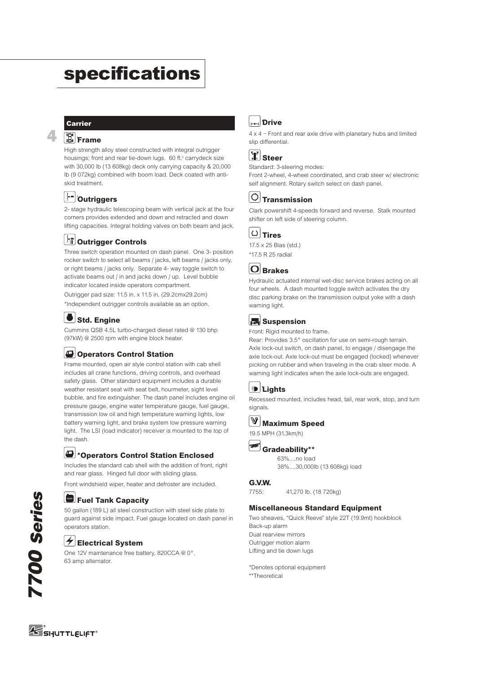# **specifications**

#### **Carrier**

**4**

### **Frame Frame**

High strength alloy steel constructed with integral outrigger housings; front and rear tie-down lugs. 60 ft.<sup>2</sup> carrydeck size with 30,000 lb (13 608kg) deck only carrying capacity & 20,000 lb (9 072kg) combined with boom load. Deck coated with antiskid treatment.

## **Outriggers Outriggers**

2- stage hydraulic telescoping beam with vertical jack at the four corners provides extended and down and retracted and down lifting capacities. Integral holding valves on both beam and jack.

## **Outrigger Controls Outrigger Controls**

Three switch operation mounted on dash panel. One 3- position rocker switch to select all beams / jacks, left beams / jacks only, or right beams / jacks only. Separate 4- way toggle switch to activate beams out / in and jacks down / up. Level bubble indicator located inside operators compartment. Outrigger pad size: 11.5 in. x 11.5 in. (29.2cmx29.2cm)

\*Independent outrigger controls available as an option.

## **Std. Engine Engine**

Cummins QSB 4.5L turbo-charged diesel rated @ 130 bhp (97kW) @ 2500 rpm with engine block heater.

### **Operators Control Station**

Frame mounted, open air style control station with cab shell includes all crane functions, driving controls, and overhead safety glass. Other standard equipment includes a durable weather resistant seat with seat belt, hourmeter, sight level bubble, and fire extinguisher. The dash panel includes engine oil pressure gauge, engine water temperature gauge, fuel gauge, transmission low oil and high temperature warning lights, low battery warning light, and brake system low pressure warning light. The LSI (load indicator) receiver is mounted to the top of the dash. **Electrical System Constructed with integral outigor<br>
<b>Electrical System** and rear tie-clown logs. 60 ft. carrydect size<br> **Electrical System** and rear tie-clown beam and change apparents & 20,000<br> **Construgers**<br> **Clowing t** 

### **\*Operators Control Station Enclosed Cab**

Includes the standard cab shell with the addition of front, right and rear glass. Hinged full door with sliding glass.

Front windshield wiper, heater and defroster are included.

# **Fuel Tank Capacity Fuel Tank Capacity**

50 gallon (189 L) all steel construction with steel side plate to guard against side impact. Fuel gauge located on dash panel in operators station.

## **Electrical System**

One 12V maintenance free battery, 820CCA @ 0°. 63 amp alternator.

## **Drive**

 $4 \times 4$  – Front and rear axle drive with planetary hubs and limited slip differential.

# **Steer**

Standard: 3-steering modes:

Front 2-wheel, 4-wheel coordinated, and crab steer w/ electronic self alignment. Rotary switch select on dash panel.

### **Transmission**

Clark powershift 4-speeds forward and reverse. Stalk mounted shifter on left side of steering column.



17.5 x 25 Bias (std.) \*17.5 R 25 radial



Hydraulic actuated internal wet-disc service brakes acting on all four wheels. A dash mounted toggle switch activates the dry disc parking brake on the transmission output yoke with a dash warning light.

#### **Suspension**

Front: Rigid mounted to frame.

Rear: Provides 3.5° oscillation for use on semi-rough terrain. Axle lock-out switch, on dash panel, to engage / disengage the axle lock-out. Axle lock-out must be engaged (locked) whenever picking on rubber and when traveling in the crab steer mode. A warning light indicates when the axle lock-outs are engaged.

|  | н |  |
|--|---|--|
|--|---|--|

Recessed mounted, includes head, tail, rear work, stop, and turn signals.

#### **Maximum Speed**



#### **Gradeability\*\***

63%....no load 38%....30,000lb (13 608kg) load

#### **G.V.W.**

7755: 41,270 lb. (18 720kg)

#### **Miscellaneous Standard Equipment**

Two sheaves, "Quick Reeve" style 22T (19.9mt) hookblock Back-up alarm Dual rearview mirrors Outrigger motion alarm Lifting and tie down lugs

\*Denotes optional equipment \*\*Theoretical

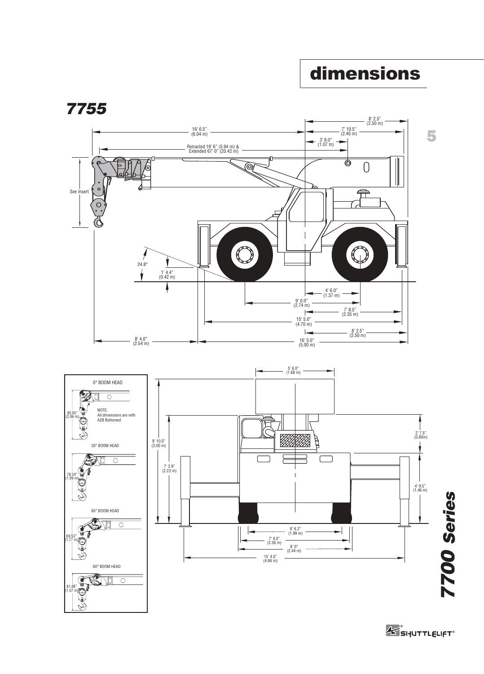# **dimensions**



**K** SHUTTLELIFT<sup>®</sup>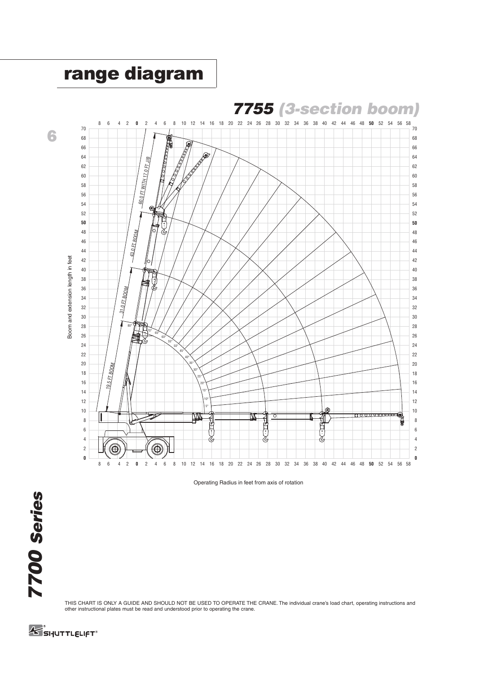

Operating Radius in feet from axis of rotation

THIS CHART IS ONLY A GUIDE AND SHOULD NOT BE USED TO OPERATE THE CRANE. The individual crane's load chart, operating instructions and other instructional plates must be read and understood prior to operating the crane.

SI-JUTTLELIFT<sup>®</sup>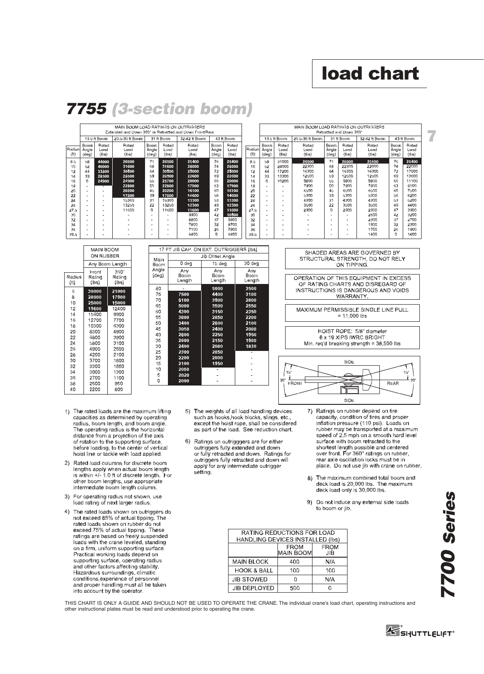# **load chart**

**7**

43 ft Boom Boom<br>Angle<br>(deg)

 $\frac{76}{74}$ 

766630639727260

Rated  $\frac{Load}{)$ 

25400 17000<br>13600

11100 9100<br>9100<br>7500<br>6200<br>5200<br>4400 3900 3200<br>2700<br>2700<br>2300<br>1900<br>1400

|                |                        |                        | MAIN BOOM LOAD RATINGS ON OUTRIGGERS<br>Extended and Down 360° or Retracted and Down Front/Rear |                        |                               |                        |                        |                                    |                       |                        |                                                      | MAIN BOOM LOAD RATINGS ON OUTRIGGERS       |                        | Retracted and Down 360°            |                                    |  |
|----------------|------------------------|------------------------|-------------------------------------------------------------------------------------------------|------------------------|-------------------------------|------------------------|------------------------|------------------------------------|-----------------------|------------------------|------------------------------------------------------|--------------------------------------------|------------------------|------------------------------------|------------------------------------|--|
|                |                        | 19.5 ft Boom           | 20.5-30 ft Boom                                                                                 |                        | 31 ft Boom                    | 32-42 ft Boom          |                        | 43 ft Boom                         |                       |                        | 19.5 ft Boom                                         | 20.5-30 ft Boom                            |                        | 31 ft Boom                         | 32-42 ft Boom                      |  |
| Radius<br>(It) | Boom<br>Angle<br>(deg) | Rated<br>Load<br>(lbs) | Rated<br>Load<br>(lbs)                                                                          | Boom<br>Angle<br>(deg) | <b>Rated</b><br>Load<br>(lbs) | Rated<br>Load<br>(lbs) | Boom<br>Angle<br>(deq) | Rated<br>Load<br>(h <sub>s</sub> ) | <b>Radius</b><br>(It) | Boom<br>Angle<br>(deg) | Rated<br>Load<br>(lbs)                               | Rated<br>Load<br>(lbs)                     | Baom<br>Angle<br>(deg) | Rated<br>Load<br>(h <sub>s</sub> ) | Rated<br>Load<br>(h <sub>s</sub> ) |  |
| 8.5            | 58                     | 44000                  | 26500                                                                                           | 71                     | 26500                         | 25400                  | 76                     | 25400                              | 8.5                   | 58                     | 31000                                                | 26500                                      | 71                     | 26500                              | 25400                              |  |
| 10             | $^{42}$                | 40000                  | 31600                                                                                           | 68                     | 31600                         | 28000                  | 74                     | 28000                              | 10                    | 62                     | 24000                                                | 22300                                      | 68                     | 22300                              | 22000                              |  |
| 12             | 44                     | 33800                  | 30500                                                                                           | 64                     | 30500                         | 25000                  | 72                     | 25000                              | 12                    | 44                     | 17200                                                | 16300                                      | 64                     | 16300                              | 16300                              |  |
| 14             | 33                     | 28500                  | 28500                                                                                           | $^{19}$                | 28500                         | 22600                  | 69                     | 22600                              | 14                    | 33                     | 13300                                                | 12500                                      | 59                     | 12500                              | 12500                              |  |
| 16             | n                      | 24900                  | 24900                                                                                           | 55                     | 25700                         | 20000                  | 66                     | 20000                              | 16                    | $\Omega$               | 10200                                                | 9800                                       | 66                     | 9800                               | 9800                               |  |
| 18             | ۰                      |                        | 22800                                                                                           | 50                     | 22800                         | 17900                  | 63                     | 17900                              | 18                    | ٠                      | ۰                                                    | 7900                                       | 50                     | 7900                               | 7900                               |  |
| 20             | ۰                      |                        | 20200                                                                                           | 4 <sub>0</sub>         | 20200                         | 16100                  | 60                     | 16100                              | 20                    | ٠                      | $\overline{\phantom{a}}$                             | 6500                                       | 4 <sub>1</sub>         | 6500                               | 6500                               |  |
| 22             | ۰                      | ٠                      | 17800                                                                                           | 39                     | 17800                         | 14600                  | 16                     | 14600                              | 22                    | $\sim$                 | ٠                                                    | 5300                                       | 39                     | 4300                               | 5300                               |  |
| 24             | ۰                      | ۰                      | 15360                                                                                           | 31                     | 15360                         | 13300                  | 53                     | 13300                              | 24                    | ٠                      | $\overline{\phantom{a}}$                             | 4300                                       | 31                     | 4300                               | 4300                               |  |
| 26             | ۰                      | ٠                      | 13250                                                                                           | $^{22}$                | 13250                         | 12300                  | 49                     | 12300                              | 26                    | ٠                      | $\overline{\phantom{a}}$                             | 3500                                       | 22                     | 3500                               | 3500                               |  |
| 27.5           | ۰                      | ٠                      | 11600                                                                                           | 0                      | 11600                         | 11600                  | 47                     | 11600                              | 27.5                  | ٠                      | $\overline{\phantom{a}}$                             | 2900                                       | o                      | 2900                               | 2900                               |  |
| 30             | ۰                      | ٠                      |                                                                                                 | ۰                      |                               | 9900                   | 42                     | 10500                              | 30                    | ٠                      | $\overline{\phantom{a}}$                             |                                            | ٠                      |                                    | 2600                               |  |
| 32             | ۰                      |                        | ۰                                                                                               |                        | $\overline{\phantom{a}}$      | 8800<br>7800           | 37<br>32               | 9800<br>8700                       | 32                    | ٠                      | ٠                                                    |                                            |                        | ۰                                  | 2300<br>1900                       |  |
| 34<br>36       | ۰                      | ۰                      | $\sim$<br>۰                                                                                     | ٠                      | $\overline{a}$                | 7100                   | 26                     | 7800                               | 34<br>36              | ٠                      | $\overline{\phantom{a}}$                             |                                            | ÷                      | ٠                                  | 1750                               |  |
| 39.5           | ۰<br>۰                 | ٠<br>۰                 | $\overline{\phantom{a}}$                                                                        | ٠                      | $\overline{\phantom{a}}$      | 6400                   | o                      | 6400                               | 39.5                  | ۰<br>۰                 | $\overline{\phantom{a}}$<br>$\overline{\phantom{a}}$ | $\overline{\phantom{0}}$<br>$\overline{a}$ | ۰<br>٠                 | ٠<br>۰                             | 1400                               |  |
|                |                        |                        |                                                                                                 |                        |                               |                        |                        |                                    |                       |                        |                                                      |                                            |                        |                                    |                                    |  |

# *7755 (3-section boom)*

|                | MAIN BOOM                |                         | 17 FT          |  |
|----------------|--------------------------|-------------------------|----------------|--|
|                | ON RUBBER                |                         | Main           |  |
|                |                          | Any Boom Length         | Boom           |  |
| Radius<br>(11) | Front<br>Raling<br>(lbs) | 360"<br>Raling<br>(Ibs) | Angle<br>(deg) |  |
| 6<br>8<br>10   | 30000<br>28000<br>25000  | 21000<br>17900<br>15000 | 80<br>75<br>70 |  |
| 12             | 19600                    | 12400                   | 65<br>60       |  |
| 14<br>16       | 15600<br>12700           | 9900<br>7700            | 55             |  |
| 18             | 10300                    | 6300                    | 50<br>45       |  |
| 20<br>22       | 8300<br>6800             | 4900<br>3900            | 40             |  |
| 24             | 5800                     | 3100                    | 35<br>30       |  |
| 26<br>28       | 4900<br>4200             | 2500<br>2100            | 25             |  |
| 30             | 3700                     | 1800                    | 20<br>15       |  |
| 32<br>34       | 3300<br>3000             | 1550<br>1300            | 10             |  |
| 36             | 2700                     | 1100                    | 5<br>0         |  |
| 38<br>40       | 2500<br>2200             | 950<br>800              |                |  |

|                | 17 FT JIB CAP. ON EXT. OUTRIGGERS (Ibs) |                       |                        |
|----------------|-----------------------------------------|-----------------------|------------------------|
| Main           |                                         | Jib Ollset Angle      |                        |
| Boom           | 0 deg                                   | 15 deg                | 30 deg                 |
| Angle<br>(deg) | Any<br>Boom<br>Length                   | Anv<br>Boom<br>Length | Arry<br>Boom<br>Length |
| 80             |                                         | 5000                  | 3500                   |
| 75             | 7500                                    | 4400                  | 3100                   |
| 70             | 6100                                    | 3900                  | 2800                   |
| 65             | 5000                                    | 3500                  | 2550                   |
| 60             | 4300                                    | 3150                  | 2350                   |
| 55             | 3800                                    | 2850                  | 2200                   |
| 50             | 3400                                    | 2600                  | 2100                   |
| 45             | 3050                                    | 2400                  | 2000                   |
| 40             | 2800                                    | 2250                  | 1950                   |
| 35             | 2600                                    | 2150                  | 1900                   |
| 30             | 2400                                    | 2080                  | 1830                   |
| 25             | 2300                                    | 2050                  |                        |
| 20             | 2200                                    | 2000                  |                        |
| 15             | 2100                                    | 1950                  |                        |
| 10             | 2050                                    |                       |                        |
| 5              | 2020                                    |                       |                        |
| 0              | 2000                                    |                       |                        |

#### SHADED AREAS ARE GOVERNED BY STRUCTURAL STRENGTH, DO NOT RELY ON TIPPING

OPERATION OF THIS EQUIPMENT IN EXCESS<br>OF RATING CHARTS AND DISREGARD OF INSTRUCTIONS IS DANGEROUS AND VOIDS **WARRANTY** 

MAXIMUM PERMISSIBLE SINGLE LINE PULL  $= 11,000$  lbs

HOIST ROPE: 5/8" diameter 6 x 19 XIPS IWRC BRIGHT Min. req'd breaking strength = 38,500 lbs



- 1) The rated loads are the maximum lifting capacities as determined by operating radius, boom length, and boom angle.<br>The operating radius is the horizontal distance from a projection of the axis of rotation to the supporting surface,<br>before loading, to the center of vertical hoist line or tackle with load applied.
- 2) Rated load columns for discrete boom lengths apply when actual boom length<br>is within +/- 1.0 ft of discrete length. For other boom lengths, use appropriate intermediate boom length column.
- 3) For operating radius not shown, use load rating of next larger radius
- 4) The rated loads shown on outriggers do not exceed 85% of actual tipping. The<br>rated loads shown on rubber do not exceed 75% of actual tipping. These ratings are based on freely suspended loads with the crane leveled, standing on a firm, uniform supporting surface Practical working loads depend on supporting surface, operating radius<br>and other factors affecting stability. Hazardous surroundings, climatic conditions experience of personnel and proper handling must all be taken into account by the operator.
- 5) The weights of all load handling devices such as hooks, hook blocks, slings, etc., except the hoist rope, shall be considered<br>as part of the load. See reduction chart.
- Ratings on outrigggers are for either<br>outriggers fully extended and down 6) or fully retracted and down. Ratings for outriggers fully retracted and down will<br>apply for any intermediate outrigger setting.

Ratings on rubber depend on tire  $7)$ capacity, condition of tires and proper<br>inflation pressure (110 psi). Loads on rubber may be transported at a maximum speed of 2.5 mph on a smooth hard level surface with boom retracted to the shortest length possible and centered<br>over front. For 360° ratings on rubber, rear axle oscillation locks must be in place. Do not use jib with crane on rubber.

- 8) The maximum combined total boom and<br>deck load is 20,000 lbs. The maximum deck load only is 30,000 lbs.
- Do not induce any external side loads  $9)$ to boom or jib.

| RATING REDUCTIONS FOR LOAD<br>HANDLING DEVICES INSTALLED (Ibs) |                                                       |     |  |  |  |  |  |
|----------------------------------------------------------------|-------------------------------------------------------|-----|--|--|--|--|--|
|                                                                | <b>FROM</b><br><b>FROM</b><br><b>MAIN BOOM</b><br>JIB |     |  |  |  |  |  |
| <b>MAIN BLOCK</b>                                              | 400                                                   | N/A |  |  |  |  |  |
| <b>HOOK &amp; BALL</b>                                         | 100                                                   | 100 |  |  |  |  |  |
| <b>JIB STOWED</b>                                              | n                                                     | N/A |  |  |  |  |  |
| <b>JIB DEPLOYED</b>                                            | 500                                                   |     |  |  |  |  |  |

THIS CHART IS ONLY A GUIDE AND SHOULD NOT BE USED TO OPERATE THE CRANE. The individual crane's load chart, operating instructions and other instructional plates must be read and understood prior to operating the crane.



SI-JUTTLELIFT®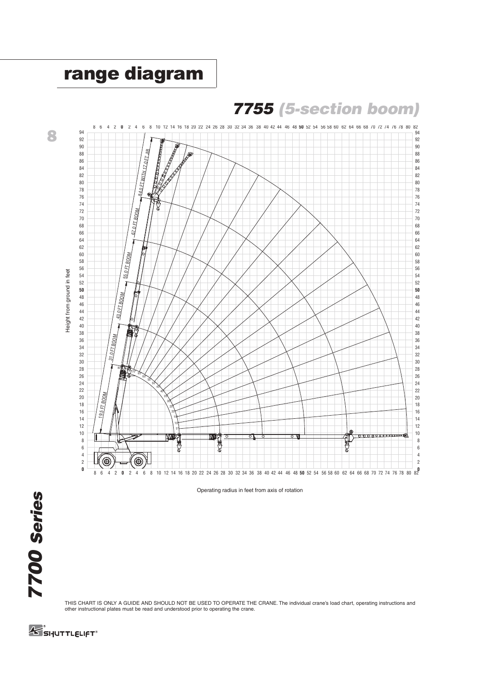

THIS CHART IS ONLY A GUIDE AND SHOULD NOT BE USED TO OPERATE THE CRANE. The individual crane's load chart, operating instructions and other instructional plates must be read and understood prior to operating the crane.

SI-JUTTLELIFT<sup>®</sup>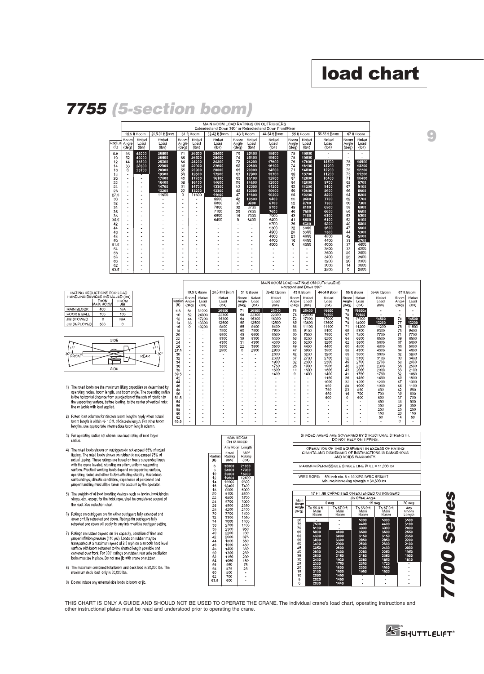# **load chart**

**9**

# *7755 (5-section boom)*

|        | MAIN BOOM LOAD RATINGS ON OUTRIGGERS |               |               |               |                |                                                         |                |               |               |               |               |               |                |               |
|--------|--------------------------------------|---------------|---------------|---------------|----------------|---------------------------------------------------------|----------------|---------------|---------------|---------------|---------------|---------------|----------------|---------------|
|        |                                      |               |               |               |                | Extended and Down 3601 or Retracted and Down Front/Rear |                |               |               |               |               |               |                |               |
|        | 20.5-30 f: Boom<br>19.5 lt Hoom      |               |               |               | 31 ft Boom     | 32-42 ft Boom                                           |                | 43 IL Boom    | 44-54 tt Boom |               | 55 ft Boom    | 56-66 ft Boom |                | 67 IL Boom    |
| Radius | Boom<br>Arigle                       | Rated<br>Load | Rated<br>Load | Boom<br>Angle | Rated<br>Load  | Rated<br>Load                                           | Hoom<br>Arigle | Rated<br>Load | Rated<br>Load | Boom<br>Angle | Rated<br>Load | Rated<br>Load | Boom<br>Arigle | Rated<br>Load |
| (1)    | $(d\mathbf{e}q)$                     | (lbs)         | (lbs)         | (deg)         | (lbs)          | (lbs)                                                   | (deg)          | (lbs)         | (lbs)         | (deq)         | (lbs)         | (lbs)         | (deq)          | (lbs)         |
| 8.5    | 58                                   | 44000         | 26500         | 71            | 26500          | 25400                                                   | 76             | 25400         | 19500         | 79            | 19500         |               | ٠              |               |
| 10     | 52                                   | 40000         | 26500         | 68            | 26500          | 25400                                                   | 74             | 25400         | 19500         | 78            | 19500         |               |                |               |
| 12     | 44                                   | 33800         | 25300         | 64            | 24200          | 24200                                                   | 72             | 24200         | 17600         | 76            | 17600         | 14500         | 78             | 14500         |
| 14     | 33                                   | 28500         | 22900         | $^{1,9}$      | 22900          | 22600                                                   | 69             | 22600         | 16100         | 74            | 16100         | 13200         | 77             | 13200         |
| 16     | 0                                    | 23700         | 20900         | 55            | 20900          | 20000                                                   | 66             | 20000         | 14800         | 71            | 14800         | 12200         | 75             | 12200         |
| 18     | ٠                                    |               | 19300         | 50            | 19300          | 17900                                                   | 63             | 17900         | 13700         | 69            | 13700         | 11200         | 73             | 11200         |
| 20     | ٠                                    |               | 17800         | 45            | 17800          | 16100                                                   | 60             | 16100         | 12800         | 67            | 12800         | 10400         | 71             | 10400         |
| 22     | ٠                                    |               | 16400         | 39            | 16400          | 14600                                                   | 56             | 14600         | 12000         | 64            | 12000         | 9700          | 69             | 9700          |
| 24     | ÷.                                   | ٠             | 14700         | 31            | 14700          | 13300                                                   | 53             | 13300         | 11200         | 62            | 11200         | 9100          | 67             | 9100          |
| 26     | ÷.                                   | ٠             | 13200         | 22            | 13200          | 12300                                                   | 49             | 12300         | 10600         | 60            | 10600         | 8600          | 66             | 8600          |
| 27.5   | ÷                                    | ٠             | 11600         | 0.            | 11600          | 11600                                                   | 47             | 11600         | 10200         | 58            | 10200         | 8200          | 64             | 8200          |
| 30     |                                      | ٠             |               |               |                | 9900                                                    | 42             | 10500         | 9400          | 55            | 9400          | 7700          | 62             | 7700          |
| 32     |                                      | ٠             |               | ۰             | $\overline{a}$ | <b>BB00</b>                                             | 37             | 9800          | 8700          | 52            | 8700          | 7300          | 60             | 7300          |
| 34     |                                      |               |               | ۰             | $\overline{a}$ | 7800                                                    | 32             | 8700          | 8100          | 49            | 8100          | 6900          | 58             | 6900          |
| 36     |                                      |               |               |               | ٠              | 7100                                                    | 26             | 7800          | 7600          | 46            | 7600          | 6600          | 66             | 6600          |
| 38     |                                      |               |               |               | ٠              | 6500                                                    | 18             | 7000          | 7000          | 43            | 7100          | 6300          | 53             | 6300          |
| 39.5   | ٠                                    |               |               |               |                | 6400                                                    | $\Omega$       | 6400          | 6400          | 41            | 6800          | 6100          | 52             | 6100          |
| 42     |                                      |               |               |               |                |                                                         |                |               | 5700          | 36            | 6300          | 5800          | 49             | 5800          |
| 44     |                                      |               |               | ٠             |                |                                                         |                |               | 5300          | 32            | 5800          | 5600          | 47             | 5600          |
| 46     |                                      |               |               |               |                |                                                         |                |               | 4900          | 28            | 5300          | 5300          | 44             | 5300          |
| 48     | $\overline{\phantom{0}}$             |               |               |               |                |                                                         |                |               | 4600          | 23            | 4800          | 4800          | 42             | 5000          |
| 50     | ٠                                    |               |               | ۰             |                |                                                         |                |               | 4400          | 16            | 4400          | 4400          | 39             | 4700          |
| 51.5   | $\overline{a}$                       |               |               |               |                |                                                         |                |               | 4000          | 0             | 4000          | 4000          | 37             | 4600          |
| 54     | $\overline{\phantom{0}}$             |               |               |               |                |                                                         |                |               |               |               |               | 3800          | 33             | 4200          |
| 56     |                                      |               |               | ۰             |                |                                                         |                |               |               | ٠             | ٠             | 3600          | 29             | 3900          |
| 58     |                                      |               |               | ٠             |                |                                                         |                |               |               | ٠             | ٠             | 3400          | 25             | 3600          |
| 60     |                                      |               |               |               |                |                                                         |                |               |               | ٠             | ٠             | 3200          | 20             | 3300          |
| 62     |                                      |               |               |               |                |                                                         |                |               |               | ٠             | ٠             | 3000          | 14             | 3000          |
| 63.5   |                                      |               |               |               |                |                                                         |                |               |               | ٠             | ٠             | 2800          | n.             | 2800          |

| RATING REDUCTIONS FOR LOAD        |                  |             |  |  |  |  |  |  |  |  |
|-----------------------------------|------------------|-------------|--|--|--|--|--|--|--|--|
| I ANDLING DEVICES INSTALLED (Ibs) |                  |             |  |  |  |  |  |  |  |  |
|                                   | <b>TROM</b>      | <b>FROM</b> |  |  |  |  |  |  |  |  |
|                                   | <b>NAIN HCON</b> | üВ          |  |  |  |  |  |  |  |  |
| MAIN BLOCK                        | 400              | N/A         |  |  |  |  |  |  |  |  |
| <b>FOOK &amp; BALL</b>            | 100              | 100         |  |  |  |  |  |  |  |  |
| JIB STOWED                        |                  | N/A         |  |  |  |  |  |  |  |  |
| <b>JIB DEPLOYED</b>               | 500              | Ω           |  |  |  |  |  |  |  |  |
|                                   |                  |             |  |  |  |  |  |  |  |  |



- 1) The rated loads are the maximum lifting capacities as determined by For the control of the control of the control of the persiding radius between the control of the control of the control of the control of the supporting surface, before boding, to the center of vertical holds. The control
- 2) Rated load columns for discrete boom lengths apply when actual boom length is within +/-1.0 ft, of discrete length. For other boom lengths, use appropriate intermediate boom length column.
- 3) For operating radius not shown, use load rating of next larger radius.
- 4) The rated loads shown on outriggers do not exceed 85% of actual The Total Constitution in the United Constraints of the United Constraints (Up) the United Constraints (Up) the Total Constraints of the United Constraints of the United Constraints (Up) the United Constraints (UP) and Con surroundings, climatic conditions, experience of personnel and<br>proper handling must all be taken into account by the operator.
- 5) The weights of all load handling devices such as hooks, hook blocks, slings, etc., except for the hoist rope, shall be considered as part of the load. See reduction chart.
- 6) Ratings on outriggers are for either outriggers fully extended and<br>cown or fully retracted and down. Ratings for outriggers fully<br>retracted and cown will apply for any intermediate outrigger setting.
- 7) Ratings on rubber depend on tire capacity, condition of tires and reausy of manufacturing the state of the pays of the proper infinition pressure (110 ps). Loads on rubber may be<br>proper limitation pressure (110 ps). Loads on rubber may be<br>surface with boom retracted to the shorted length locks must be in place. Do not use jib with crane on rubber.
- 8) The maximum combined total boom and deck load is 20,000 lbs. The maximum deck load only is 30,000 lbs
- 9) Do not induce any external side loads to boom or jib.

|                | MAIN HOOM LOAD RATINGS ON OUTRIGGERS<br>Retracted and Down 360° |                        |                              |                        |                        |                              |                                    |                              |                        |                          |                        |                        |                        |                        |
|----------------|-----------------------------------------------------------------|------------------------|------------------------------|------------------------|------------------------|------------------------------|------------------------------------|------------------------------|------------------------|--------------------------|------------------------|------------------------|------------------------|------------------------|
|                |                                                                 | 19.5 ft Hoom           | 20.5-30 It Boom              |                        | 31 ft Boom             | 32-42 It Bccm                |                                    | 43 ft Hoom                   | 44-54 It Boom          |                          | 55 ft Boom             | 56-66 It Boom          |                        | 67 ft Boom             |
| Radius<br>(f() | Hoom<br>Angle<br>(dag)                                          | Ratec<br>Load<br>(Ibs) | Raled<br>Load<br>$($ lbs $)$ | Hoom<br>Angle<br>(dag) | Raled<br>Loac<br>(Ibs) | Raled<br>Load<br>$($ lbs $)$ | <b>Boom</b><br>Angle<br>$(c \neg)$ | Raled<br>Load<br>$($ lbs $)$ | Raled<br>Load<br>(Ibs) | Hoom<br>Angle<br>(dag)   | Ratec<br>Loac<br>(Ibs) | Raled<br>Load<br>(lbs) | Boom<br>Angle<br>(dag) | Ratec<br>Load<br>(lbs) |
| 8.5            | 58                                                              | 31000                  | 26500                        | $\overline{71}$        | 26500                  | 25400                        | 76                                 | 25400                        | 19500                  | 79                       | 19500x                 | ٠                      | ٠                      |                        |
| 10             | 52                                                              | 24000                  | 22300                        | 68                     | 22300                  | 22000                        | 74                                 | 22000                        | 19500                  | 78                       | 19500                  |                        | ٠                      |                        |
| 12             | 44                                                              | 17200                  | 16300                        | 64                     | 16300                  | 16300                        | 72                                 | 17000                        | 17000                  | 76                       | 17100                  | 14500                  | 78                     | 14500                  |
| 14             | 33                                                              | 13300                  | 12500                        | 59                     | 12500                  | 12500                        | 69                                 | 13600                        | 13600                  | 74                       | 14000                  | 13200                  | 77                     | 13200                  |
| 16             | 0                                                               | 10200                  | 9800                         | 55                     | 9800                   | 9800                         | 66                                 | 11100                        | 11100                  | 71                       | 11200                  | 11200                  | 75                     | 11500                  |
| 18             | ٠                                                               |                        | 7900                         | 50                     | 7900                   | 7900                         | 63                                 | 9100                         | 9100                   | 69                       | 9300                   | 9300                   | 73                     | 9400                   |
| 20             | ٠                                                               |                        | 6500                         | 45                     | 6500                   | 6500                         | 60                                 | 7500                         | 7500                   | 67                       | 7800                   | 7700                   | 71                     | 7700                   |
| 22             | ٠                                                               | ۰                      | 5300                         | 39                     | 5300                   | 5300                         | 56                                 | 6200                         | 6200                   | 64                       | 6600                   | 6500                   | 69                     | 6500                   |
| 24             | ٠                                                               | ٠                      | 4300                         | 31                     | 4300                   | 4300                         | 53                                 | 5200                         | 5200                   | 62                       | 5600                   | 5600                   | 67                     | 5600                   |
| 26             | ٠                                                               | ٠                      | 3500                         | 22                     | 3500                   | 3500                         | 49                                 | 4400                         | 4400                   | 60                       | 4800                   | 4000                   | 66                     | 5000                   |
| 27.5           | ٠                                                               |                        | 2900                         | 0                      | 2900                   | 2900                         | 47                                 | 3900                         | 3900                   | 58                       | 4300                   | 4300                   | 64                     | 4600                   |
| 30             | ٠                                                               |                        |                              | ٠                      |                        | 2600                         | 42                                 | 3200                         | 3200                   | 55                       | 3600                   | 3600                   | 62                     | 3900                   |
| 32             | ۰                                                               |                        |                              | ٠                      | ٠                      | 2300                         | 37                                 | 2700                         | 2700                   | 52                       | 3100                   | 3100                   | 60                     | 3400                   |
| 34             | ٠                                                               |                        |                              | ٠                      | ٠                      | 1900                         | 32                                 | 2300                         | 2300                   | 49                       | 2700                   | 2700                   | 58                     | 2900                   |
| 36             | ٠                                                               | ٠                      |                              | ۰                      | ٠                      | 1750                         | 26                                 | 1900                         | 1900                   | 46                       | 2300                   | 2300                   | 56                     | 2500                   |
| 38             | ٠                                                               |                        |                              | ٠                      | ٠                      | 1500                         | 18                                 | 1600                         | 1600                   | 43                       | 2000                   | 2000                   | 53                     | 2100                   |
| 39.5           | ٠                                                               |                        |                              | ٠                      | ٠                      | 1400                         | 0                                  | 1400                         | 1400                   | 41                       | 1750                   | 1750                   | 52                     | 1850                   |
| 42             | ٠                                                               |                        |                              | ۰                      | ٠                      |                              | $\overline{a}$                     | $\overline{a}$               | 1150                   | 36                       | 1450                   | 1450                   | 49                     | 1500                   |
| 44             | ٠                                                               |                        |                              | ٠                      | ٠                      |                              | ٠                                  | ÷                            | 1000                   | 32                       | 1200                   | 1200                   | 47                     | 1300                   |
| 46             | ٠                                                               | ٠                      |                              | ٠                      | ٠                      |                              | ٠                                  | ٠                            | 850                    | 20                       | 1000                   | 1000                   | 44                     | 1100                   |
| 48             | ä,                                                              | ٠                      |                              | ۰                      | ٠                      |                              | $\overline{a}$                     | ٠                            | 750<br>650             | 23<br>16                 | 850<br>700             | 850                    | 42<br>39               | 950<br>800             |
| 50             | ٠                                                               | ٠                      |                              | ٠                      | ٠                      |                              | ٠                                  | ٠                            | 600                    | 0                        | 600                    | 700<br>600             | 37                     | 700                    |
| 51.5           | ٠                                                               | ۰                      |                              | ٠<br>٠                 | ٠<br>٠                 |                              | ٠<br>٠                             | ٠<br>٠                       |                        | ۰                        |                        | 450                    | 33                     | 500                    |
| 54<br>56       | ٠                                                               | ۰                      |                              | ٠                      | ٠                      |                              | ٠                                  | ٠                            |                        | $\overline{\phantom{a}}$ |                        | 350                    | 29                     | 350                    |
| 58             | ٠                                                               | ٠                      |                              | ٠                      | ٠                      |                              | ٠                                  | ۰                            |                        | ٠                        | ٠                      | 250                    | 25                     | 250                    |
| 60             | ۰<br>٠                                                          | ۰                      |                              | ٠                      | ٠                      |                              | ٠                                  | ٠                            |                        | ٠                        | ٠                      | 150                    | 20                     | 150                    |
| 62             | ٠                                                               | ٠                      |                              | ٠                      | ٠                      |                              | ٠                                  | ٠                            |                        | ٠                        |                        | 50                     | 14                     | 50                     |
| 63.5           | ٠                                                               | ٠                      |                              | ٠                      | ٠                      |                              | ٠                                  | ÷                            | ٠                      | ٠                        |                        | ٠                      | 0                      |                        |
|                |                                                                 |                        |                              |                        |                        |                              |                                    |                              |                        |                          |                        |                        |                        |                        |

 $2520$ <br> $105$ <br> $105$ 



|                                                                 | SHADED AREAS ARE GOVERNED BY STRUCTURAL STRENGTH.<br>DO NOT RELY ON HPPING.                                                     |                                                                                    |                                                                                      |                                                                                      |                                                                                      |  |  |  |  |  |  |  |
|-----------------------------------------------------------------|---------------------------------------------------------------------------------------------------------------------------------|------------------------------------------------------------------------------------|--------------------------------------------------------------------------------------|--------------------------------------------------------------------------------------|--------------------------------------------------------------------------------------|--|--|--|--|--|--|--|
|                                                                 | OPERATION OF THIS EQUIPMENT IN EXCESS OF RATING.<br>CI IARTS AND DISREGARD OF INSTRUCTIONS IS DANGEROUS.<br>AND VOIDS WARRANTY. |                                                                                    |                                                                                      |                                                                                      |                                                                                      |  |  |  |  |  |  |  |
|                                                                 | MAXIMUM PERMISSIBLE SINGLE LINE PULL = 11.000 lbs                                                                               |                                                                                    |                                                                                      |                                                                                      |                                                                                      |  |  |  |  |  |  |  |
|                                                                 | WIRE ROPE:                                                                                                                      | 5/8 inch cia, 6 x 19 XIPS IWRC BRIGHT<br>Min. rec'd breaking strength = 38,500 lbs |                                                                                      |                                                                                      |                                                                                      |  |  |  |  |  |  |  |
|                                                                 |                                                                                                                                 | 17 FT JIB CAPACITIES ON EXTENDED OUTRIGGERS                                        | Jib Offset Angle                                                                     |                                                                                      |                                                                                      |  |  |  |  |  |  |  |
| Main<br>Hoom                                                    |                                                                                                                                 | $\overline{0}$ deg                                                                 |                                                                                      | 15 <sub>deg</sub>                                                                    | 30 deg                                                                               |  |  |  |  |  |  |  |
| Angle<br>(dcg)                                                  | To 55.0 ft<br>Main<br>Hoom                                                                                                      | To 67.0 ft<br>Main<br>Hoom                                                         | To 55.0 ft<br>Main<br>Hoom                                                           | To 67.0 ft<br>Main<br>Hoom                                                           | Anv<br>Hoom<br>Length                                                                |  |  |  |  |  |  |  |
| t!Ó<br>75<br>70<br>65<br>60<br>55<br>50<br>45<br>40<br>35<br>30 | 7500<br>6100<br>5000<br>4300<br>3800<br>3400<br>3050<br>2800<br>2600<br>2400                                                    | 4600<br>3800<br>3300<br>2900<br>2600<br>2400<br>2150<br>1930                       | 5000<br>4400<br>3900<br>3500<br>3150<br>2850<br>2600<br>2400<br>2250<br>2150<br>2080 | 5000<br>4400<br>3900<br>3500<br>3150<br>2850<br>2600<br>2400<br>2250<br>2050<br>1850 | 3500<br>3100<br>2800<br>2550<br>2350<br>2200<br>2100<br>2000<br>1950<br>1900<br>1830 |  |  |  |  |  |  |  |

 $\frac{1750}{1600}$ <br> $\frac{1500}{1460}$ <br> $\frac{1450}{1450}$ 

1720<br>1590<br>1520

**7700 Series** *7700 Series*

THIS CHART IS ONLY A GUIDE AND SHOULD NOT BE USED TO OPERATE THE CRANE. The individual crane's load chart, operating instructions and other instructional plates must be read and understood prior to operating the crane.

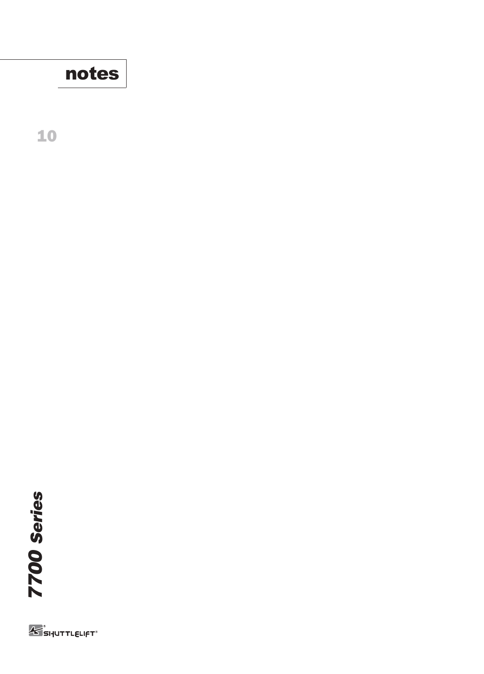

**10**



**K** SHUTTLELIFT<sup>®</sup>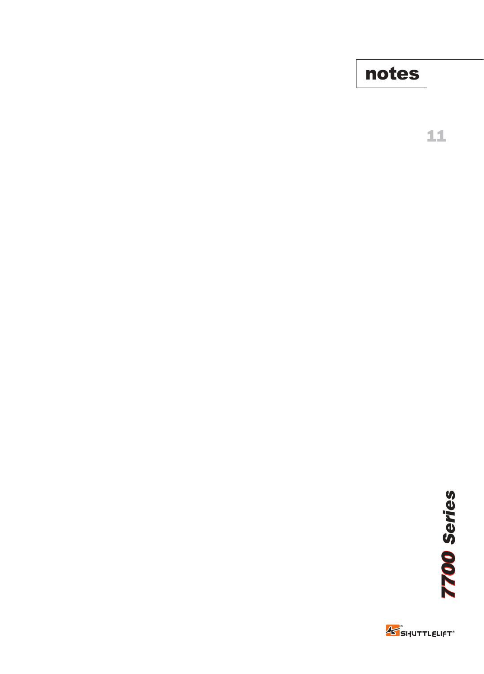**notes**

**11**